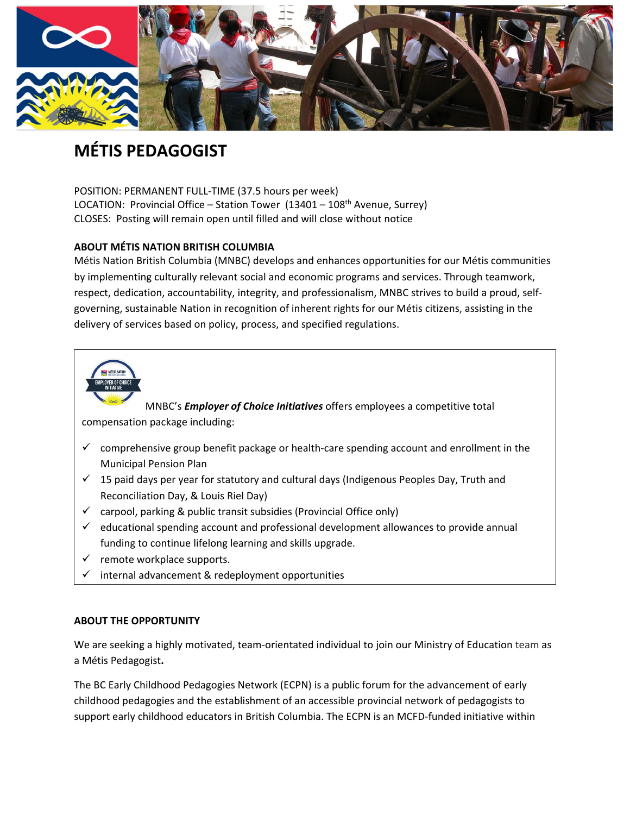

# **MÉTIS PEDAGOGIST**

POSITION: PERMANENT FULL‐TIME (37.5 hours per week) LOCATION: Provincial Office – Station Tower  $(13401 - 108<sup>th</sup>$  Avenue, Surrey) CLOSES: Posting will remain open until filled and will close without notice

## **ABOUT MÉTIS NATION BRITISH COLUMBIA**

Métis Nation British Columbia (MNBC) develops and enhances opportunities for our Métis communities by implementing culturally relevant social and economic programs and services. Through teamwork, respect, dedication, accountability, integrity, and professionalism, MNBC strives to build a proud, self‐ governing, sustainable Nation in recognition of inherent rights for our Métis citizens, assisting in the delivery of services based on policy, process, and specified regulations.



MNBC's *Employer of Choice Initiatives* offers employees a competitive total

compensation package including:

- $\checkmark$  comprehensive group benefit package or health-care spending account and enrollment in the Municipal Pension Plan
- $\checkmark$  15 paid days per year for statutory and cultural days (Indigenous Peoples Day, Truth and Reconciliation Day, & Louis Riel Day)
- $\checkmark$  carpool, parking & public transit subsidies (Provincial Office only)
- $\checkmark$  educational spending account and professional development allowances to provide annual funding to continue lifelong learning and skills upgrade.
- $\checkmark$  remote workplace supports.
- internal advancement & redeployment opportunities

#### **ABOUT THE OPPORTUNITY**

We are seeking a highly motivated, team‐orientated individual to join our Ministry of Education team as a Métis Pedagogist**.**

The BC Early Childhood Pedagogies Network (ECPN) is a public forum for the advancement of early childhood pedagogies and the establishment of an accessible provincial network of pedagogists to support early childhood educators in British Columbia. The ECPN is an MCFD-funded initiative within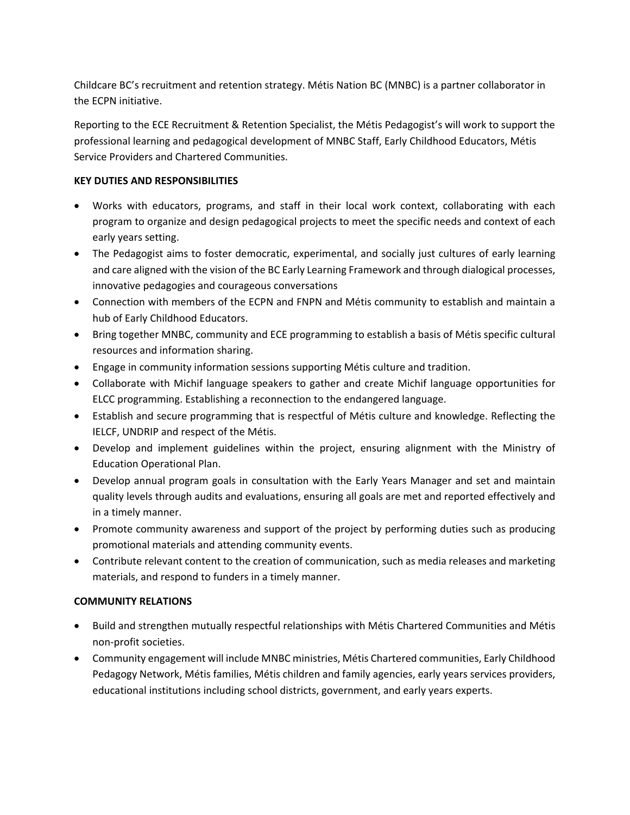Childcare BC's recruitment and retention strategy. Métis Nation BC (MNBC) is a partner collaborator in the ECPN initiative.

Reporting to the ECE Recruitment & Retention Specialist, the Métis Pedagogist's will work to support the professional learning and pedagogical development of MNBC Staff, Early Childhood Educators, Métis Service Providers and Chartered Communities.

## **KEY DUTIES AND RESPONSIBILITIES**

- Works with educators, programs, and staff in their local work context, collaborating with each program to organize and design pedagogical projects to meet the specific needs and context of each early years setting.
- The Pedagogist aims to foster democratic, experimental, and socially just cultures of early learning and care aligned with the vision of the BC Early Learning Framework and through dialogical processes, innovative pedagogies and courageous conversations
- Connection with members of the ECPN and FNPN and Métis community to establish and maintain a hub of Early Childhood Educators.
- Bring together MNBC, community and ECE programming to establish a basis of Métis specific cultural resources and information sharing.
- Engage in community information sessions supporting Métis culture and tradition.
- Collaborate with Michif language speakers to gather and create Michif language opportunities for ELCC programming. Establishing a reconnection to the endangered language.
- Establish and secure programming that is respectful of Métis culture and knowledge. Reflecting the IELCF, UNDRIP and respect of the Métis.
- Develop and implement guidelines within the project, ensuring alignment with the Ministry of Education Operational Plan.
- Develop annual program goals in consultation with the Early Years Manager and set and maintain quality levels through audits and evaluations, ensuring all goals are met and reported effectively and in a timely manner.
- Promote community awareness and support of the project by performing duties such as producing promotional materials and attending community events.
- Contribute relevant content to the creation of communication, such as media releases and marketing materials, and respond to funders in a timely manner.

#### **COMMUNITY RELATIONS**

- Build and strengthen mutually respectful relationships with Métis Chartered Communities and Métis non‐profit societies.
- Community engagement will include MNBC ministries, Métis Chartered communities, Early Childhood Pedagogy Network, Métis families, Métis children and family agencies, early years services providers, educational institutions including school districts, government, and early years experts.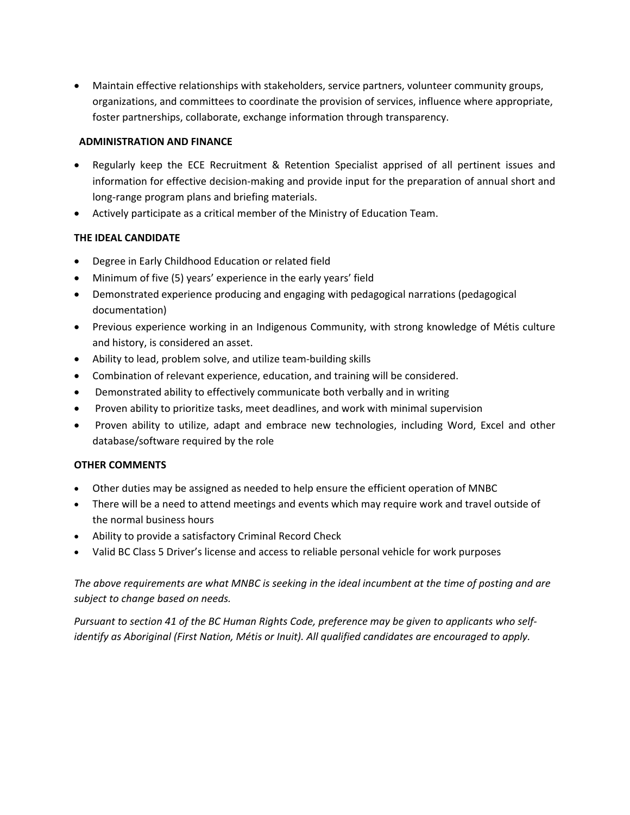Maintain effective relationships with stakeholders, service partners, volunteer community groups, organizations, and committees to coordinate the provision of services, influence where appropriate, foster partnerships, collaborate, exchange information through transparency.

#### **ADMINISTRATION AND FINANCE**

- Regularly keep the ECE Recruitment & Retention Specialist apprised of all pertinent issues and information for effective decision‐making and provide input for the preparation of annual short and long‐range program plans and briefing materials.
- Actively participate as a critical member of the Ministry of Education Team.

# **THE IDEAL CANDIDATE**

- Degree in Early Childhood Education or related field
- Minimum of five (5) years' experience in the early years' field
- Demonstrated experience producing and engaging with pedagogical narrations (pedagogical documentation)
- Previous experience working in an Indigenous Community, with strong knowledge of Métis culture and history, is considered an asset.
- Ability to lead, problem solve, and utilize team-building skills
- Combination of relevant experience, education, and training will be considered.
- Demonstrated ability to effectively communicate both verbally and in writing
- Proven ability to prioritize tasks, meet deadlines, and work with minimal supervision
- Proven ability to utilize, adapt and embrace new technologies, including Word, Excel and other database/software required by the role

#### **OTHER COMMENTS**

- Other duties may be assigned as needed to help ensure the efficient operation of MNBC
- There will be a need to attend meetings and events which may require work and travel outside of the normal business hours
- Ability to provide a satisfactory Criminal Record Check
- Valid BC Class 5 Driver's license and access to reliable personal vehicle for work purposes

The above requirements are what MNBC is seeking in the ideal incumbent at the time of posting and are *subject to change based on needs.*

Pursuant to section 41 of the BC Human Rights Code, preference may be given to applicants who self*identify as Aboriginal (First Nation, Métis or Inuit). All qualified candidates are encouraged to apply.*